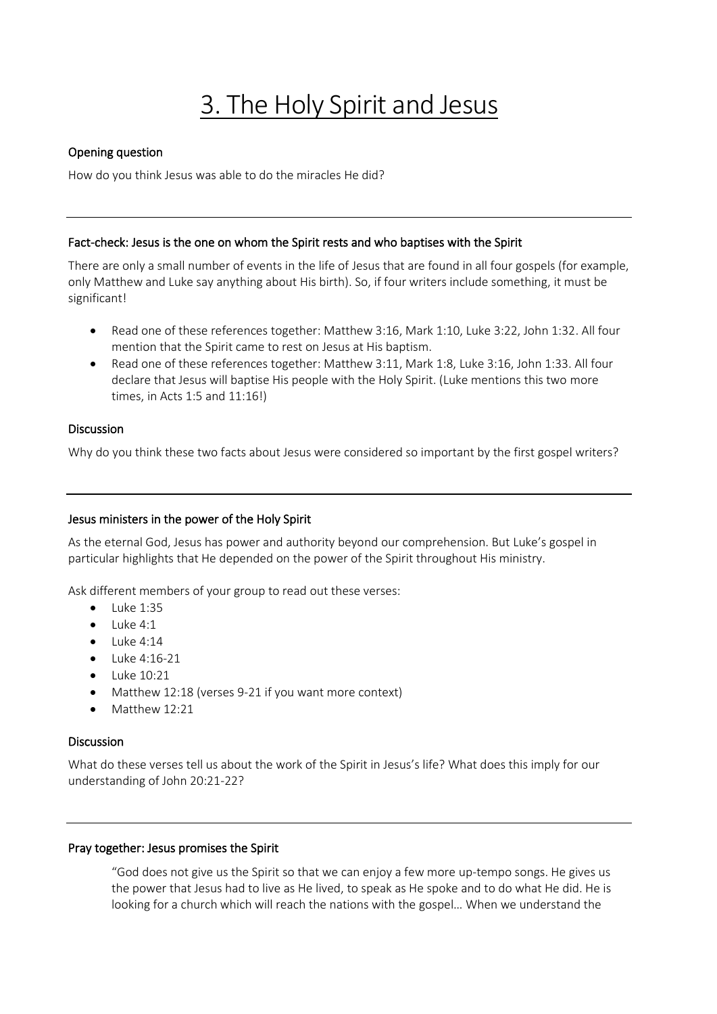# 3. The Holy Spirit and Jesus

## Opening question

How do you think Jesus was able to do the miracles He did?

#### Fact-check: Jesus is the one on whom the Spirit rests and who baptises with the Spirit

There are only a small number of events in the life of Jesus that are found in all four gospels (for example, only Matthew and Luke say anything about His birth). So, if four writers include something, it must be significant!

- Read one of these references together: Matthew 3:16, Mark 1:10, Luke 3:22, John 1:32. All four mention that the Spirit came to rest on Jesus at His baptism.
- Read one of these references together: Matthew 3:11, Mark 1:8, Luke 3:16, John 1:33. All four declare that Jesus will baptise His people with the Holy Spirit. (Luke mentions this two more times, in Acts 1:5 and 11:16!)

### Discussion

Why do you think these two facts about Jesus were considered so important by the first gospel writers?

#### Jesus ministers in the power of the Holy Spirit

As the eternal God, Jesus has power and authority beyond our comprehension. But Luke's gospel in particular highlights that He depended on the power of the Spirit throughout His ministry.

Ask different members of your group to read out these verses:

- $\bullet$  Luke 1:35
- Luke 4:1
- $\bullet$  Luke 4:14
- Luke 4:16-21
- Luke 10:21
- Matthew 12:18 (verses 9-21 if you want more context)
- Matthew 12:21

#### Discussion

What do these verses tell us about the work of the Spirit in Jesus's life? What does this imply for our understanding of John 20:21-22?

#### Pray together: Jesus promises the Spirit

"God does not give us the Spirit so that we can enjoy a few more up-tempo songs. He gives us the power that Jesus had to live as He lived, to speak as He spoke and to do what He did. He is looking for a church which will reach the nations with the gospel… When we understand the